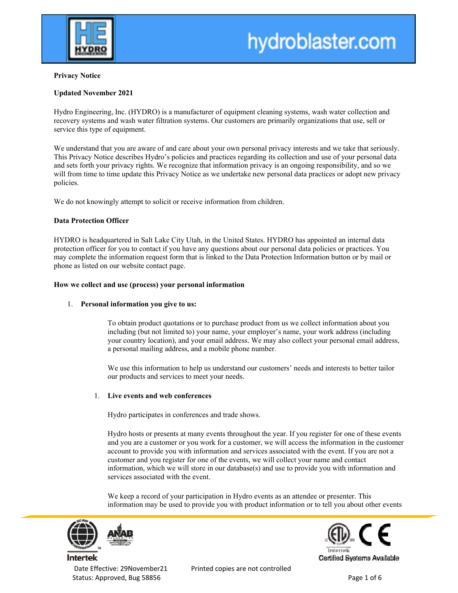

**hydroblaster.com**

# **Privacy Notice**

# **Updated November 2021**

Hydro Engineering, Inc. (HYDRO) is a manufacturer of equipment cleaning systems, wash water collection and recovery systems and wash water filtration systems. Our customers are primarily organizations that use, sell or service this type of equipment.

We understand that you are aware of and care about your own personal privacy interests and we take that seriously. This Privacy Notice describes Hydro's policies and practices regarding its collection and use of your personal data and sets forth your privacy rights. We recognize that information privacy is an ongoing responsibility, and so we will from time to time update this Privacy Notice as we undertake new personal data practices or adopt new privacy policies.

We do not knowingly attempt to solicit or receive information from children.

# **Data Protection Officer**

HYDRO is headquartered in Salt Lake City Utah, in the United States. HYDRO has appointed an internal data protection officer for you to contact if you have any questions about our personal data policies or practices. You may complete the information request form that is linked to the Data Protection Information button or by mail or phone as listed on our website contact page.

# **How we collect and use (process) your personal information**

# 1. **Personal information you give to us:**

To obtain product quotations or to purchase product from us we collect information about you including (but not limited to) your name, your employer's name, your work address (including your country location), and your email address. We may also collect your personal email address, a personal mailing address, and a mobile phone number.

We use this information to help us understand our customers' needs and interests to better tailor our products and services to meet your needs.

# 1. **Live events and web conferences**

Hydro participates in conferences and trade shows.

Hydro hosts or presents at many events throughout the year. If you register for one of these events and you are a customer or you work for a customer, we will access the information in the customer account to provide you with information and services associated with the event. If you are not a customer and you register for one of the events, we will collect your name and contact information, which we will store in our database(s) and use to provide you with information and services associated with the event.

We keep a record of your participation in Hydro events as an attendee or presenter. This information may be used to provide you with product information or to tell you about other events



Status: Approved, Bug 58856 **by a status: Approved, Bug 58856 by a status: Approved, Bug 58856** 



Date Effective: 29November21 Printed copies are not controlled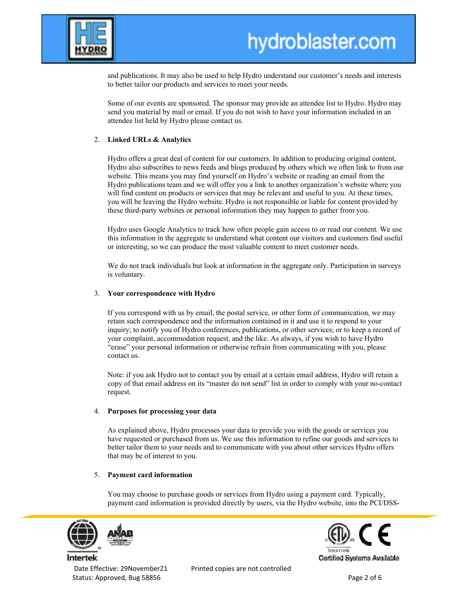

**hydroblaster.com**

and publications. It may also be used to help Hydro understand our customer's needs and interests to better tailor our products and services to meet your needs.

Some of our events are sponsored. The sponsor may provide an attendee list to Hydro. Hydro may send you material by mail or email. If you do not wish to have your information included in an attendee list held by Hydro please contact us.

# 2. **Linked URLs & Analytics**

Hydro offers a great deal of content for our customers. In addition to producing original content, Hydro also subscribes to news feeds and blogs produced by others which we often link to from our website. This means you may find yourself on Hydro's website or reading an email from the Hydro publications team and we will offer you a link to another organization's website where you will find content on products or services that may be relevant and useful to you. At these times, you will be leaving the Hydro website. Hydro is not responsible or liable for content provided by these third-party websites or personal information they may happen to gather from you.

Hydro uses Google Analytics to track how often people gain access to or read our content. We use this information in the aggregate to understand what content our visitors and customers find useful or interesting, so we can produce the most valuable content to meet customer needs.

We do not track individuals but look at information in the aggregate only. Participation in surveys is voluntary.

# 3. **Your correspondence with Hydro**

If you correspond with us by email, the postal service, or other form of communication, we may retain such correspondence and the information contained in it and use it to respond to your inquiry; to notify you of Hydro conferences, publications, or other services; or to keep a record of your complaint, accommodation request, and the like. As always, if you wish to have Hydro "erase" your personal information or otherwise refrain from communicating with you, please contact us.

Note: if you ask Hydro not to contact you by email at a certain email address, Hydro will retain a copy of that email address on its "master do not send" list in order to comply with your no-contact request.

#### 4. **Purposes for processing your data**

As explained above, Hydro processes your data to provide you with the goods or services you have requested or purchased from us. We use this information to refine our goods and services to better tailor them to your needs and to communicate with you about other services Hydro offers that may be of interest to you.

# 5. **Payment card information**

You may choose to purchase goods or services from Hydro using a payment card. Typically, payment card information is provided directly by users, via the Hydro website, into the PCI/DSS-



Status: Approved, Bug 58856 **by a status: Approved, Bug 58856 by a status: Approved, Bug 58856** 

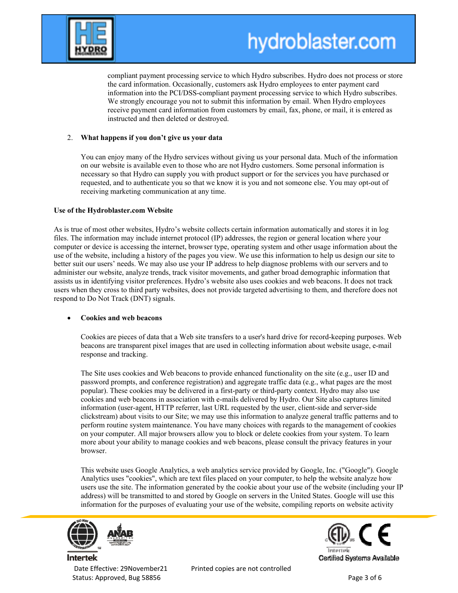

**hydroblaster.com**

compliant payment processing service to which Hydro subscribes. Hydro does not process or store the card information. Occasionally, customers ask Hydro employees to enter payment card information into the PCI/DSS-compliant payment processing service to which Hydro subscribes. We strongly encourage you not to submit this information by email. When Hydro employees receive payment card information from customers by email, fax, phone, or mail, it is entered as instructed and then deleted or destroyed.

# 2. **What happens if you don't give us your data**

You can enjoy many of the Hydro services without giving us your personal data. Much of the information on our website is available even to those who are not Hydro customers. Some personal information is necessary so that Hydro can supply you with product support or for the services you have purchased or requested, and to authenticate you so that we know it is you and not someone else. You may opt-out of receiving marketing communication at any time.

# **Use of the Hydroblaster.com Website**

As is true of most other websites, Hydro's website collects certain information automatically and stores it in log files. The information may include internet protocol (IP) addresses, the region or general location where your computer or device is accessing the internet, browser type, operating system and other usage information about the use of the website, including a history of the pages you view. We use this information to help us design our site to better suit our users' needs. We may also use your IP address to help diagnose problems with our servers and to administer our website, analyze trends, track visitor movements, and gather broad demographic information that assists us in identifying visitor preferences. Hydro's website also uses cookies and web beacons. It does not track users when they cross to third party websites, does not provide targeted advertising to them, and therefore does not respond to Do Not Track (DNT) signals.

# **Cookies and web beacons**

Cookies are pieces of data that a Web site transfers to a user's hard drive for record-keeping purposes. Web beacons are transparent pixel images that are used in collecting information about website usage, e-mail response and tracking.

The Site uses cookies and Web beacons to provide enhanced functionality on the site (e.g., user ID and password prompts, and conference registration) and aggregate traffic data (e.g., what pages are the most popular). These cookies may be delivered in a first-party or third-party context. Hydro may also use cookies and web beacons in association with e-mails delivered by Hydro. Our Site also captures limited information (user-agent, HTTP referrer, last URL requested by the user, client-side and server-side clickstream) about visits to our Site; we may use this information to analyze general traffic patterns and to perform routine system maintenance. You have many choices with regards to the management of cookies on your computer. All major browsers allow you to block or delete cookies from your system. To learn more about your ability to manage cookies and web beacons, please consult the privacy features in your browser.

This website uses Google Analytics, a web analytics service provided by Google, Inc. ("Google"). Google Analytics uses "cookies", which are text files placed on your computer, to help the website analyze how users use the site. The information generated by the cookie about your use of the website (including your IP address) will be transmitted to and stored by Google on servers in the United States. Google will use this information for the purposes of evaluating your use of the website, compiling reports on website activity



Status: Approved, Bug 58856 **by a status: Approved, Bug 58856 by a status: Approved, Bug 58856** 



Date Effective: 29November21 Printed copies are not controlled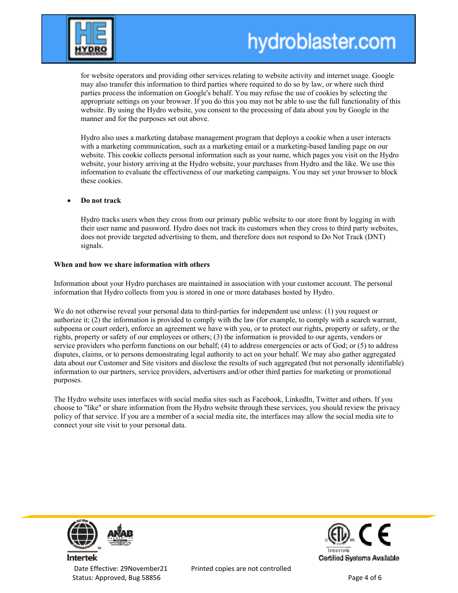

**hydroblaster.com**

for website operators and providing other services relating to website activity and internet usage. Google may also transfer this information to third parties where required to do so by law, or where such third parties process the information on Google's behalf. You may refuse the use of cookies by selecting the appropriate settings on your browser. If you do this you may not be able to use the full functionality of this website. By using the Hydro website, you consent to the processing of data about you by Google in the manner and for the purposes set out above.

Hydro also uses a marketing database management program that deploys a cookie when a user interacts with a marketing communication, such as a marketing email or a marketing-based landing page on our website. This cookie collects personal information such as your name, which pages you visit on the Hydro website, your history arriving at the Hydro website, your purchases from Hydro and the like. We use this information to evaluate the effectiveness of our marketing campaigns. You may set your browser to block these cookies.

## **Do not track**

Hydro tracks users when they cross from our primary public website to our store front by logging in with their user name and password. Hydro does not track its customers when they cross to third party websites, does not provide targeted advertising to them, and therefore does not respond to Do Not Track (DNT) signals.

#### **When and how we share information with others**

Information about your Hydro purchases are maintained in association with your customer account. The personal information that Hydro collects from you is stored in one or more databases hosted by Hydro.

We do not otherwise reveal your personal data to third-parties for independent use unless: (1) you request or authorize it; (2) the information is provided to comply with the law (for example, to comply with a search warrant, subpoena or court order), enforce an agreement we have with you, or to protect our rights, property or safety, or the rights, property or safety of our employees or others; (3) the information is provided to our agents, vendors or service providers who perform functions on our behalf; (4) to address emergencies or acts of God; or (5) to address disputes, claims, or to persons demonstrating legal authority to act on your behalf. We may also gather aggregated data about our Customer and Site visitors and disclose the results of such aggregated (but not personally identifiable) information to our partners, service providers, advertisers and/or other third parties for marketing or promotional purposes.

The Hydro website uses interfaces with social media sites such as Facebook, LinkedIn, Twitter and others. If you choose to "like" or share information from the Hydro website through these services, you should review the privacy policy of that service. If you are a member of a social media site, the interfaces may allow the social media site to connect your site visit to your personal data.



Date Effective: 29November21 Printed copies are not controlled Status: Approved, Bug 58856 **by a status: Approved, Bug 58856 by a status: Approved, Bug 58856** 

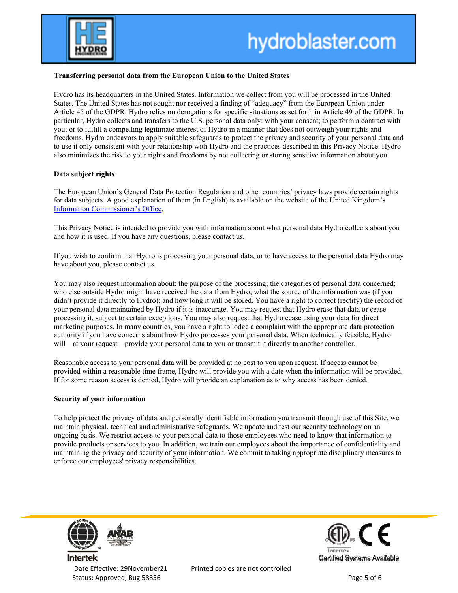

**hydroblaster.com**

## **Transferring personal data from the European Union to the United States**

Hydro has its headquarters in the United States. Information we collect from you will be processed in the United States. The United States has not sought nor received a finding of "adequacy" from the European Union under Article 45 of the GDPR. Hydro relies on derogations for specific situations as set forth in Article 49 of the GDPR. In particular, Hydro collects and transfers to the U.S. personal data only: with your consent; to perform a contract with you; or to fulfill a compelling legitimate interest of Hydro in a manner that does not outweigh your rights and freedoms. Hydro endeavors to apply suitable safeguards to protect the privacy and security of your personal data and to use it only consistent with your relationship with Hydro and the practices described in this Privacy Notice. Hydro also minimizes the risk to your rights and freedoms by not collecting or storing sensitive information about you.

## **Data subject rights**

The European Union's General Data Protection Regulation and other countries' privacy laws provide certain rights for data subjects. A good explanation of them (in English) is available on the website of the United Kingdom's Information Commissioner's Office.

This Privacy Notice is intended to provide you with information about what personal data Hydro collects about you and how it is used. If you have any questions, please contact us.

If you wish to confirm that Hydro is processing your personal data, or to have access to the personal data Hydro may have about you, please contact us.

You may also request information about: the purpose of the processing; the categories of personal data concerned; who else outside Hydro might have received the data from Hydro; what the source of the information was (if you didn't provide it directly to Hydro); and how long it will be stored. You have a right to correct (rectify) the record of your personal data maintained by Hydro if it is inaccurate. You may request that Hydro erase that data or cease processing it, subject to certain exceptions. You may also request that Hydro cease using your data for direct marketing purposes. In many countries, you have a right to lodge a complaint with the appropriate data protection authority if you have concerns about how Hydro processes your personal data. When technically feasible, Hydro will—at your request—provide your personal data to you or transmit it directly to another controller.

Reasonable access to your personal data will be provided at no cost to you upon request. If access cannot be provided within a reasonable time frame, Hydro will provide you with a date when the information will be provided. If for some reason access is denied, Hydro will provide an explanation as to why access has been denied.

#### **Security of your information**

To help protect the privacy of data and personally identifiable information you transmit through use of this Site, we maintain physical, technical and administrative safeguards. We update and test our security technology on an ongoing basis. We restrict access to your personal data to those employees who need to know that information to provide products or services to you. In addition, we train our employees about the importance of confidentiality and maintaining the privacy and security of your information. We commit to taking appropriate disciplinary measures to enforce our employees' privacy responsibilities.



Status: Approved, Bug 58856 **Bug 58856 Status: Approved, Bug 58856 Page 5 of 6**